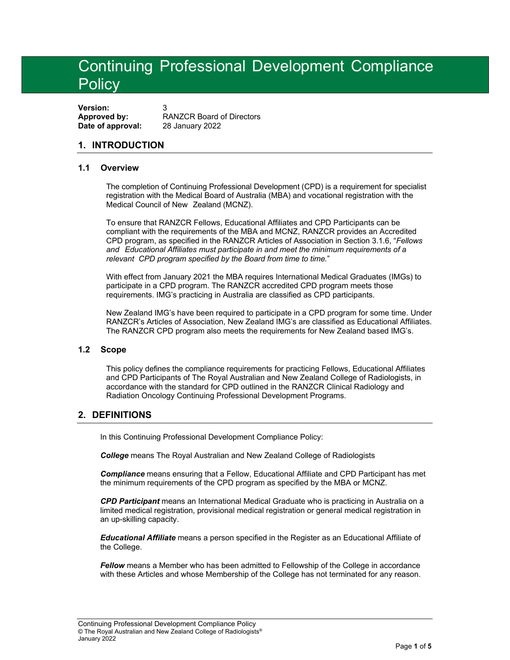# Continuing Professional Development Compliance **Policy**

**Version: Approved by:** RANZCR Board of Directors **Date of approval:** 28 January 2022

# **1. INTRODUCTION**

#### **1.1 Overview**

The completion of Continuing Professional Development (CPD) is a requirement for specialist registration with the Medical Board of Australia (MBA) and vocational registration with the Medical Council of New Zealand (MCNZ).

To ensure that RANZCR Fellows, Educational Affiliates and CPD Participants can be compliant with the requirements of the MBA and MCNZ, RANZCR provides an Accredited CPD program, as specified in the RANZCR Articles of Association in Section 3.1.6, "*Fellows and Educational Affiliates must participate in and meet the minimum requirements of a relevant CPD program specified by the Board from time to time.*"

With effect from January 2021 the MBA requires International Medical Graduates (IMGs) to participate in a CPD program. The RANZCR accredited CPD program meets those requirements. IMG's practicing in Australia are classified as CPD participants.

New Zealand IMG's have been required to participate in a CPD program for some time. Under RANZCR's Articles of Association, New Zealand IMG's are classified as Educational Affiliates. The RANZCR CPD program also meets the requirements for New Zealand based IMG's.

### **1.2 Scope**

This policy defines the compliance requirements for practicing Fellows, Educational Affiliates and CPD Participants of The Royal Australian and New Zealand College of Radiologists, in accordance with the standard for CPD outlined in the RANZCR Clinical Radiology and Radiation Oncology Continuing Professional Development Programs.

## **2. DEFINITIONS**

In this Continuing Professional Development Compliance Policy:

*College* means The Royal Australian and New Zealand College of Radiologists

*Compliance* means ensuring that a Fellow, Educational Affiliate and CPD Participant has met the minimum requirements of the CPD program as specified by the MBA or MCNZ.

*CPD Participant* means an International Medical Graduate who is practicing in Australia on a limited medical registration, provisional medical registration or general medical registration in an up-skilling capacity.

*Educational Affiliate* means a person specified in the Register as an Educational Affiliate of the College.

*Fellow* means a Member who has been admitted to Fellowship of the College in accordance with these Articles and whose Membership of the College has not terminated for any reason.

Continuing Professional Development Compliance Policy © The Royal Australian and New Zealand College of Radiologists® January 2022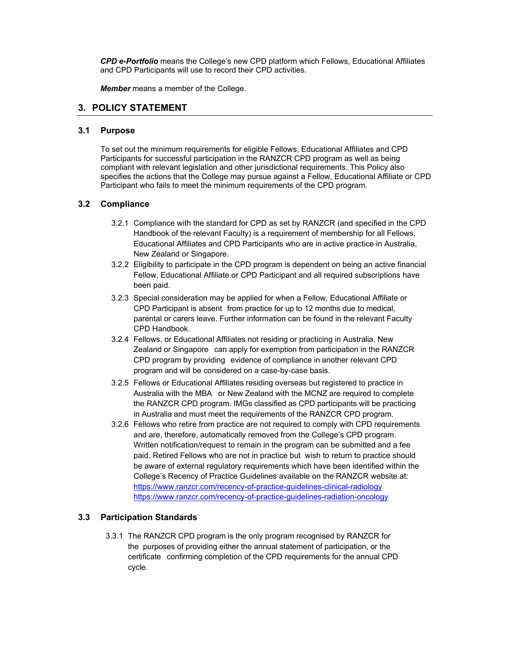*CPD e-Portfolio* means the College's new CPD platform which Fellows, Educational Affiliates and CPD Participants will use to record their CPD activities.

*Member* means a member of the College.

## **3. POLICY STATEMENT**

#### **3.1 Purpose**

To set out the minimum requirements for eligible Fellows, Educational Affiliates and CPD Participants for successful participation in the RANZCR CPD program as well as being compliant with relevant legislation and other jurisdictional requirements. This Policy also specifies the actions that the College may pursue against a Fellow, Educational Affiliate or CPD Participant who fails to meet the minimum requirements of the CPD program.

#### **3.2 Compliance**

- 3.2.1 Compliance with the standard for CPD as set by RANZCR (and specified in the CPD Handbook of the relevant Faculty) is a requirement of membership for all Fellows, Educational Affiliates and CPD Participants who are in active practice in Australia, New Zealand or Singapore.
- 3.2.2 Eligibility to participate in the CPD program is dependent on being an active financial Fellow, Educational Affiliate or CPD Participant and all required subscriptions have been paid.
- 3.2.3 Special consideration may be applied for when a Fellow, Educational Affiliate or CPD Participant is absent from practice for up to 12 months due to medical, parental or carers leave. Further information can be found in the relevant Faculty CPD Handbook.
- 3.2.4 Fellows, or Educational Affiliates not residing or practicing in Australia, New Zealand or Singapore can apply for exemption from participation in the RANZCR CPD program by providing evidence of compliance in another relevant CPD program and will be considered on a case-by-case basis.
- 3.2.5 Fellows or Educational Affiliates residing overseas but registered to practice in Australia with the MBA or New Zealand with the MCNZ are required to complete the RANZCR CPD program. IMGs classified as CPD participants will be practicing in Australia and must meet the requirements of the RANZCR CPD program.
- 3.2.6 Fellows who retire from practice are not required to comply with CPD requirements and are, therefore, automatically removed from the College's CPD program. Written notification/request to remain in the program can be submitted and a fee paid. Retired Fellows who are not in practice but wish to return to practice should be aware of external regulatory requirements which have been identified within the College's Recency of Practice Guidelines available on the RANZCR website at: https://www.ranzcr.com/recency-of-practice-guidelines-clinical-radiology https://www.ranzcr.com/recency-of-practice-guidelines-radiation-oncology

#### **3.3 Participation Standards**

3.3.1 The RANZCR CPD program is the only program recognised by RANZCR for the purposes of providing either the annual statement of participation, or the certificate confirming completion of the CPD requirements for the annual CPD cycle.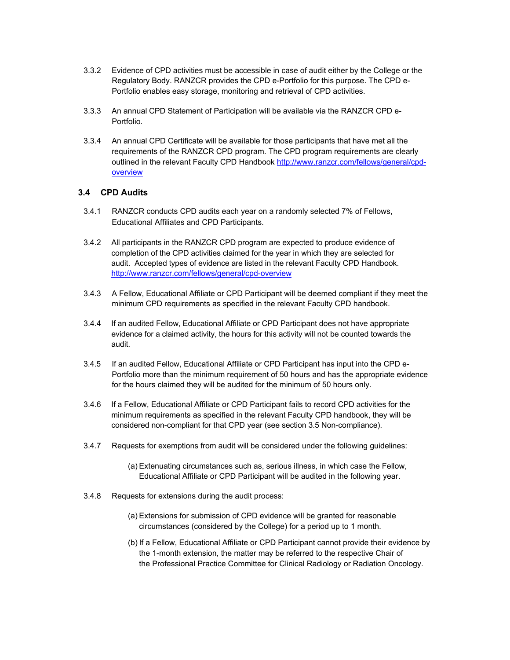- 3.3.2 Evidence of CPD activities must be accessible in case of audit either by the College or the Regulatory Body. RANZCR provides the CPD e-Portfolio for this purpose. The CPD e-Portfolio enables easy storage, monitoring and retrieval of CPD activities.
- 3.3.3 An annual CPD Statement of Participation will be available via the RANZCR CPD e-Portfolio.
- 3.3.4 An annual CPD Certificate will be available for those participants that have met all the requirements of the RANZCR CPD program. The CPD program requirements are clearly outlined in the relevant Faculty CPD Handbook http://www.ranzcr.com/fellows/general/cpdoverview

#### **3.4 CPD Audits**

- 3.4.1 RANZCR conducts CPD audits each year on a randomly selected 7% of Fellows, Educational Affiliates and CPD Participants.
- 3.4.2 All participants in the RANZCR CPD program are expected to produce evidence of completion of the CPD activities claimed for the year in which they are selected for audit. Accepted types of evidence are listed in the relevant Faculty CPD Handbook. http://www.ranzcr.com/fellows/general/cpd-overview
- 3.4.3 A Fellow, Educational Affiliate or CPD Participant will be deemed compliant if they meet the minimum CPD requirements as specified in the relevant Faculty CPD handbook.
- 3.4.4 If an audited Fellow, Educational Affiliate or CPD Participant does not have appropriate evidence for a claimed activity, the hours for this activity will not be counted towards the audit.
- 3.4.5 If an audited Fellow, Educational Affiliate or CPD Participant has input into the CPD e-Portfolio more than the minimum requirement of 50 hours and has the appropriate evidence for the hours claimed they will be audited for the minimum of 50 hours only.
- 3.4.6 If a Fellow, Educational Affiliate or CPD Participant fails to record CPD activities for the minimum requirements as specified in the relevant Faculty CPD handbook, they will be considered non-compliant for that CPD year (see section 3.5 Non-compliance).
- 3.4.7 Requests for exemptions from audit will be considered under the following guidelines:
	- (a) Extenuating circumstances such as, serious illness, in which case the Fellow, Educational Affiliate or CPD Participant will be audited in the following year.
- 3.4.8 Requests for extensions during the audit process:
	- (a) Extensions for submission of CPD evidence will be granted for reasonable circumstances (considered by the College) for a period up to 1 month.
	- (b) If a Fellow, Educational Affiliate or CPD Participant cannot provide their evidence by the 1-month extension, the matter may be referred to the respective Chair of the Professional Practice Committee for Clinical Radiology or Radiation Oncology.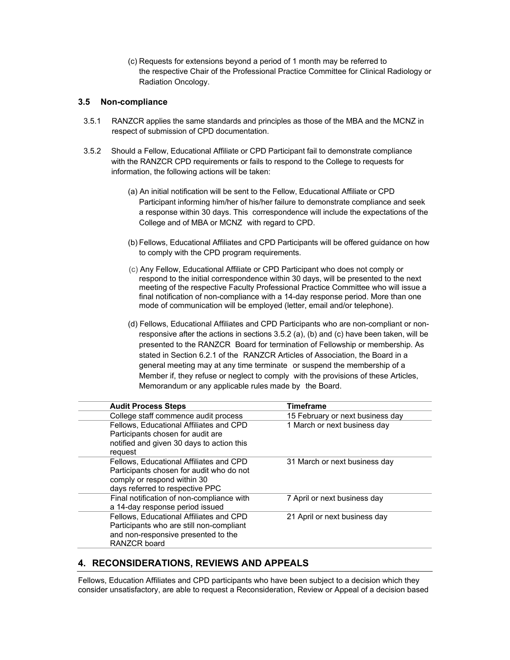(c) Requests for extensions beyond a period of 1 month may be referred to the respective Chair of the Professional Practice Committee for Clinical Radiology or Radiation Oncology.

#### **3.5 Non-compliance**

- 3.5.1 RANZCR applies the same standards and principles as those of the MBA and the MCNZ in respect of submission of CPD documentation.
- 3.5.2 Should a Fellow, Educational Affiliate or CPD Participant fail to demonstrate compliance with the RANZCR CPD requirements or fails to respond to the College to requests for information, the following actions will be taken:
	- (a) An initial notification will be sent to the Fellow, Educational Affiliate or CPD Participant informing him/her of his/her failure to demonstrate compliance and seek a response within 30 days. This correspondence will include the expectations of the College and of MBA or MCNZ with regard to CPD.
	- (b) Fellows, Educational Affiliates and CPD Participants will be offered guidance on how to comply with the CPD program requirements.
	- (c) Any Fellow, Educational Affiliate or CPD Participant who does not comply or respond to the initial correspondence within 30 days, will be presented to the next meeting of the respective Faculty Professional Practice Committee who will issue a final notification of non-compliance with a 14-day response period. More than one mode of communication will be employed (letter, email and/or telephone).
	- (d) Fellows, Educational Affiliates and CPD Participants who are non-compliant or nonresponsive after the actions in sections 3.5.2 (a), (b) and (c) have been taken, will be presented to the RANZCR Board for termination of Fellowship or membership. As stated in Section 6.2.1 of the RANZCR Articles of Association, the Board in a general meeting may at any time terminate or suspend the membership of a Member if, they refuse or neglect to comply with the provisions of these Articles, Memorandum or any applicable rules made by the Board.

| <b>Audit Process Steps</b>                                                                                                                            | <b>Timeframe</b>                 |
|-------------------------------------------------------------------------------------------------------------------------------------------------------|----------------------------------|
| College staff commence audit process                                                                                                                  | 15 February or next business day |
| Fellows, Educational Affiliates and CPD<br>Participants chosen for audit are<br>notified and given 30 days to action this<br>request                  | 1 March or next business day     |
| Fellows, Educational Affiliates and CPD<br>Participants chosen for audit who do not<br>comply or respond within 30<br>days referred to respective PPC | 31 March or next business day    |
| Final notification of non-compliance with<br>a 14-day response period issued                                                                          | 7 April or next business day     |
| Fellows, Educational Affiliates and CPD<br>Participants who are still non-compliant<br>and non-responsive presented to the<br><b>RANZCR</b> board     | 21 April or next business day    |

## **4. RECONSIDERATIONS, REVIEWS AND APPEALS**

Fellows, Education Affiliates and CPD participants who have been subject to a decision which they consider unsatisfactory, are able to request a Reconsideration, Review or Appeal of a decision based